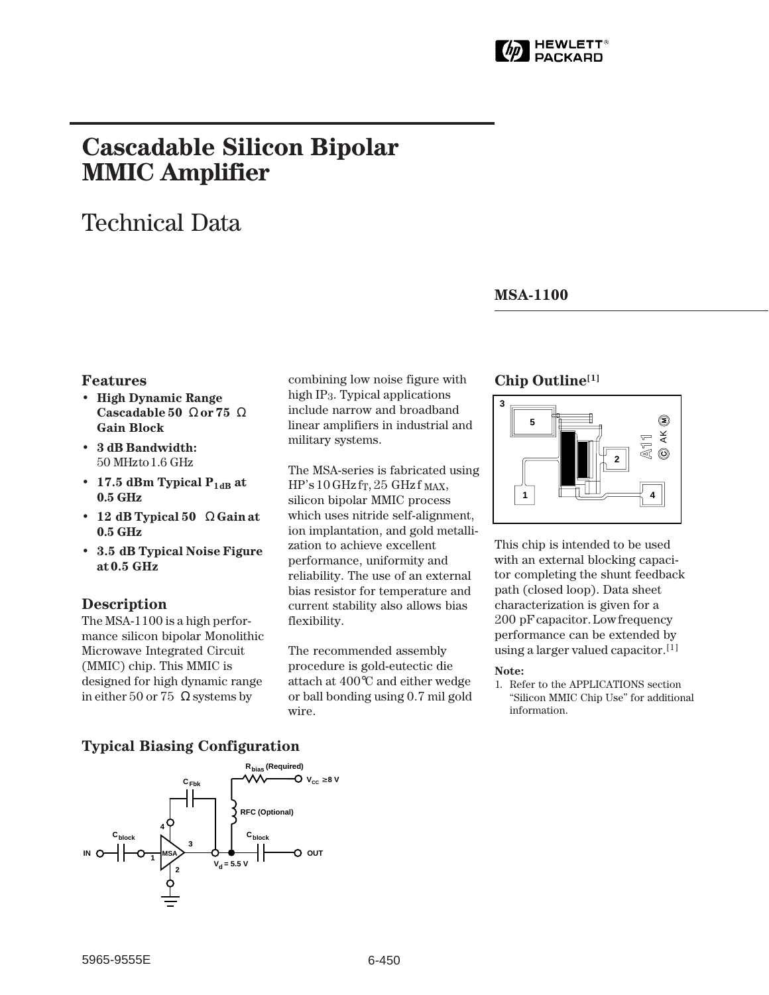

# **Cascadable Silicon Bipolar MMIC␣ Amplifier**

# Technical Data

### **MSA-1100**

#### **Features**

- **High Dynamic Range Cascadable 50␣** Ω **or 75␣** Ω **Gain Block**
- **3 dB Bandwidth:** 50␣ MHz to 1.6␣ GHz
- 17.5 dBm Typical  $P_{1dB}$  at **0.5␣ GHz**
- **12␣ dB Typical 50␣** Ω **Gain at 0.5␣ GHz**
- **3.5␣ dB Typical Noise Figure at 0.5␣ GHz**

### **Description**

The MSA-1100 is a high performance silicon bipolar Monolithic Microwave Integrated Circuit (MMIC) chip. This MMIC is designed for high dynamic range in either 50 or 75  $\Omega$  systems by

combining low noise figure with high IP3. Typical applications include narrow and broadband linear amplifiers in industrial and military systems.

The MSA-series is fabricated using  $HP's 10 GHz$  fr, 25 GHz f MAX, silicon bipolar MMIC process which uses nitride self-alignment, ion implantation, and gold metallization to achieve excellent performance, uniformity and reliability. The use of an external bias resistor for temperature and current stability also allows bias flexibility.

The recommended assembly procedure is gold-eutectic die attach at 400°C and either wedge or ball bonding using 0.7 mil gold wire.

### **Chip Outline[1]**



This chip is intended to be used with an external blocking capacitor completing the shunt feedback path (closed loop). Data sheet characterization is given for a 200␣ pF capacitor. Low frequency performance can be extended by using a larger valued capacitor.<sup>[1]</sup>

#### **Note:**

1. Refer to the APPLICATIONS section "Silicon MMIC Chip Use" for additional information.

### **Typical Biasing Configuration**

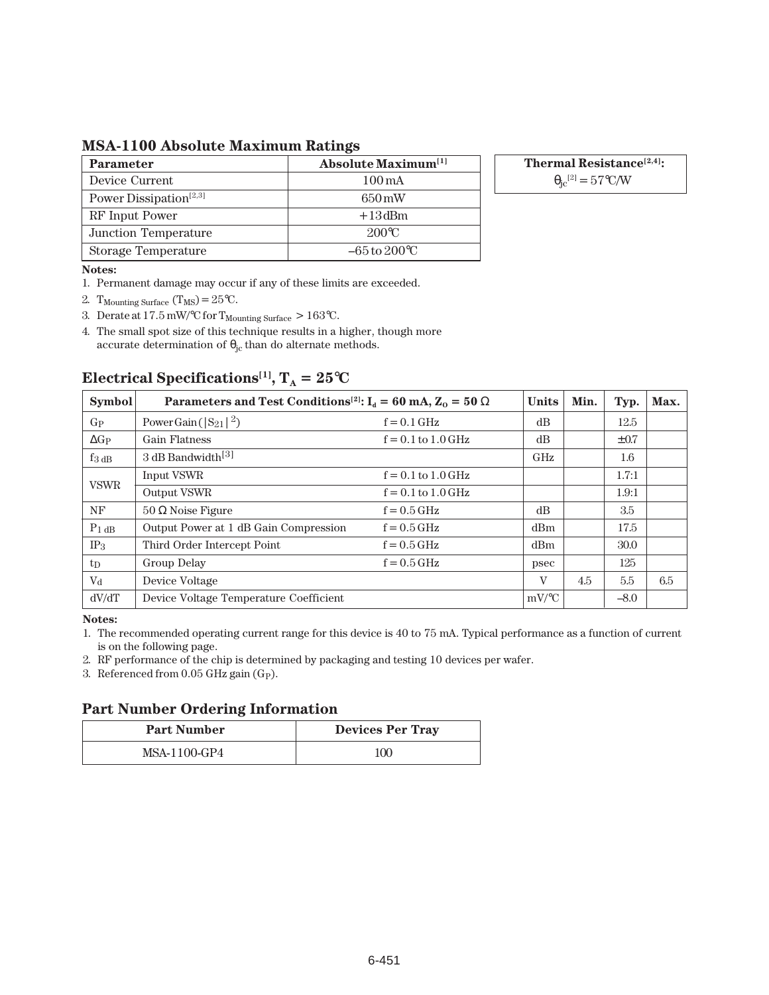**MSA-1100 Absolute Maximum Ratings**

| <b>Parameter</b>                   | <b>Absolute Maximum</b> <sup>[1]</sup> |
|------------------------------------|----------------------------------------|
| Device Current                     | $100 \,\mathrm{mA}$                    |
| Power Dissipation <sup>[2,3]</sup> | 650 mW                                 |
| RF Input Power                     | $+13$ dBm                              |
| Junction Temperature               | $200^{\circ}C$                         |
| Storage Temperature                | $-65$ to $200^{\circ}$ C               |

**Thermal Resistance[2,4]:**

 $\theta_{\rm jc}^{[2]} = 57^{\circ}$ C/W

#### **Notes:**

- 1. Permanent damage may occur if any of these limits are exceeded.
- 2. T<sub>Mounting</sub> Surface  $(T_{MS}) = 25$ °C.
- 3. Derate at  $17.5 \text{ mW}$ <sup>o</sup>C for  $T_{\text{Mounding Surface}} > 163$ <sup>o</sup>C.
- 4. The small spot size of this technique results in a higher, though more accurate determination of  $\theta_{jc}$  than do alternate methods.

| <b>Symbol</b>       | Parameters and Test Conditions <sup>[2]</sup> : $I_d = 60$ mA, $Z_0 = 50 \Omega$ | <b>Units</b>           | Min.     | Typ. | Max.      |     |
|---------------------|----------------------------------------------------------------------------------|------------------------|----------|------|-----------|-----|
| $G_{P}$             | Power Gain ( $ S_{21} ^2$ )                                                      | $f = 0.1$ GHz          | dB       |      | 12.5      |     |
| $\Delta G_P$        | <b>Gain Flatness</b>                                                             | $f = 0.1$ to $1.0$ GHz | dB       |      | $\pm 0.7$ |     |
| $f_3$ <sub>dB</sub> | 3 dB Bandwidth <sup>[3]</sup>                                                    |                        | GHz      |      | 1.6       |     |
| <b>VSWR</b>         | <b>Input VSWR</b>                                                                | $f = 0.1$ to $1.0$ GHz |          |      | 1.7:1     |     |
|                     | Output VSWR                                                                      | $f = 0.1$ to $1.0$ GHz |          |      | 1.9:1     |     |
| NF                  | $50 \Omega$ Noise Figure                                                         | $f = 0.5$ GHz          | dB       |      | 3.5       |     |
| $P_1$ dB            | Output Power at 1 dB Gain Compression                                            | $f = 0.5$ GHz          | dBm      |      | 17.5      |     |
| IP <sub>3</sub>     | Third Order Intercept Point                                                      | $f = 0.5$ GHz          | dBm      |      | 30.0      |     |
| tp                  | Group Delay                                                                      | $f = 0.5$ GHz          | psec     |      | 125       |     |
| $\rm V_{d}$         | Device Voltage                                                                   |                        | V        | 4.5  | 5.5       | 6.5 |
| dV/dT               | Device Voltage Temperature Coefficient                                           |                        | $mV$ /°C |      | $-8.0$    |     |

## **Electrical Specifications<sup>[1]</sup>,**  $T_A = 25$ **°C**

**Notes:**

1. The recommended operating current range for this device is 40 to 75 mA. Typical performance as a function of current is on the following page.

2. RF performance of the chip is determined by packaging and testing 10 devices per wafer.

3. Referenced from  $0.05$  GHz gain (G<sub>P</sub>).

### **Part Number Ordering Information**

| <b>Part Number</b> | <b>Devices Per Tray</b> |  |  |  |  |
|--------------------|-------------------------|--|--|--|--|
| MSA-1100-GP4       | 100                     |  |  |  |  |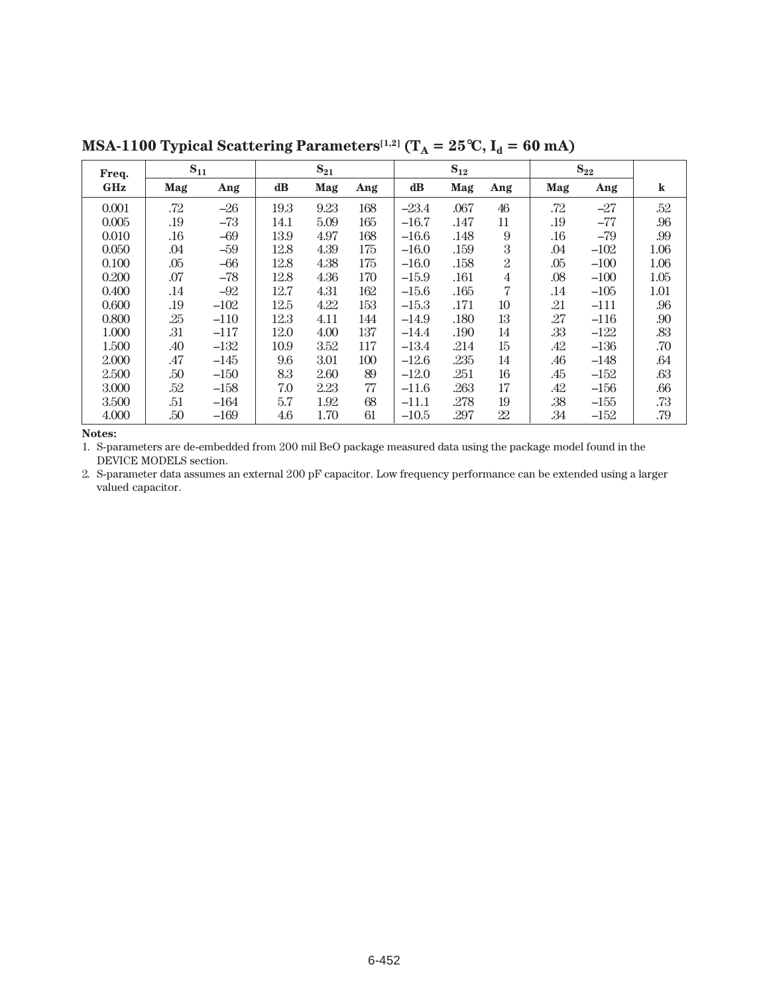| $S_{11}$<br>Freq. |     | $S_{21}$ |               |      | $S_{12}$ |         |      | $\mathbf{S}_{22}$ |     |        |         |
|-------------------|-----|----------|---------------|------|----------|---------|------|-------------------|-----|--------|---------|
| <b>GHz</b>        | Mag | Ang      | $\mathbf{dB}$ | Mag  | Ang      | dB      | Mag  | Ang               | Mag | Ang    | $\bf k$ |
| 0.001             | .72 | $-26$    | 19.3          | 9.23 | 168      | $-23.4$ | .067 | 46                | .72 | $-27$  | .52     |
| 0.005             | .19 | $-73$    | 14.1          | 5.09 | 165      | $-16.7$ | .147 | 11                | .19 | $-77$  | .96     |
| 0.010             | .16 | $-69$    | 13.9          | 4.97 | 168      | $-16.6$ | .148 | 9                 | .16 | $-79$  | .99     |
| 0.050             | .04 | $-59$    | 12.8          | 4.39 | 175      | $-16.0$ | .159 | $\boldsymbol{3}$  | .04 | $-102$ | 1.06    |
| 0.100             | .05 | $-66$    | 12.8          | 4.38 | 175      | $-16.0$ | .158 | $\overline{2}$    | .05 | $-100$ | 1.06    |
| 0.200             | .07 | $-78$    | 12.8          | 4.36 | 170      | $-15.9$ | .161 | $\overline{4}$    | .08 | $-100$ | 1.05    |
| 0.400             | .14 | $-92$    | 12.7          | 4.31 | 162      | $-15.6$ | .165 | 7                 | .14 | $-105$ | 1.01    |
| 0.600             | .19 | $-102$   | 12.5          | 4.22 | 153      | $-15.3$ | .171 | 10                | .21 | $-111$ | .96     |
| 0.800             | .25 | $-110$   | 12.3          | 4.11 | 144      | $-14.9$ | .180 | 13                | .27 | $-116$ | .90     |
| 1.000             | .31 | $-117$   | 12.0          | 4.00 | 137      | $-14.4$ | .190 | 14                | .33 | $-122$ | .83     |
| 1.500             | .40 | $-132$   | 10.9          | 3.52 | 117      | $-13.4$ | .214 | $15\,$            | .42 | $-136$ | .70     |
| 2.000             | .47 | $-145$   | 9.6           | 3.01 | 100      | $-12.6$ | .235 | 14                | .46 | $-148$ | .64     |
| 2.500             | .50 | $-150$   | 8.3           | 2.60 | 89       | $-12.0$ | .251 | 16                | .45 | $-152$ | .63     |
| 3.000             | .52 | $-158$   | 7.0           | 2.23 | 77       | $-11.6$ | .263 | 17                | .42 | $-156$ | .66     |
| 3.500             | .51 | $-164$   | 5.7           | 1.92 | 68       | $-11.1$ | .278 | 19                | .38 | $-155$ | .73     |
| 4.000             | .50 | $-169$   | 4.6           | 1.70 | 61       | $-10.5$ | .297 | 22                | .34 | $-152$ | .79     |

**MSA-1100 Typical Scattering Parameters**<sup>[1,2]</sup>  $(T_A = 25^{\circ}C, I_d = 60 \text{ mA})$ 

**Notes:**

1. S-parameters are de-embedded from 200 mil BeO package measured data using the package model found in the DEVICE MODELS section.

2. S-parameter data assumes an external 200 pF capacitor. Low frequency performance can be extended using a larger valued capacitor.